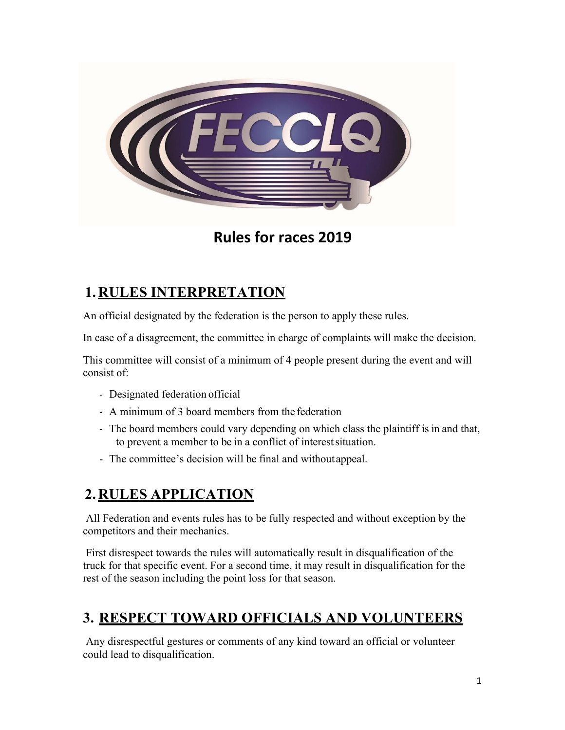

# **Rules for races 2019**

# **1. RULES INTERPRETATION**

An official designated by the federation is the person to apply these rules.

In case of a disagreement, the committee in charge of complaints will make the decision.

This committee will consist of a minimum of 4 people present during the event and will consist of:

- Designated federation official
- A minimum of 3 board members from the federation
- The board members could vary depending on which class the plaintiff is in and that, to prevent a member to be in a conflict of interestsituation.
- The committee's decision will be final and withoutappeal.

## **2. RULES APPLICATION**

All Federation and events rules has to be fully respected and without exception by the competitors and their mechanics.

First disrespect towards the rules will automatically result in disqualification of the truck for that specific event. For a second time, it may result in disqualification for the rest of the season including the point loss for that season.

## **3. RESPECT TOWARD OFFICIALS AND VOLUNTEERS**

Any disrespectful gestures or comments of any kind toward an official or volunteer could lead to disqualification.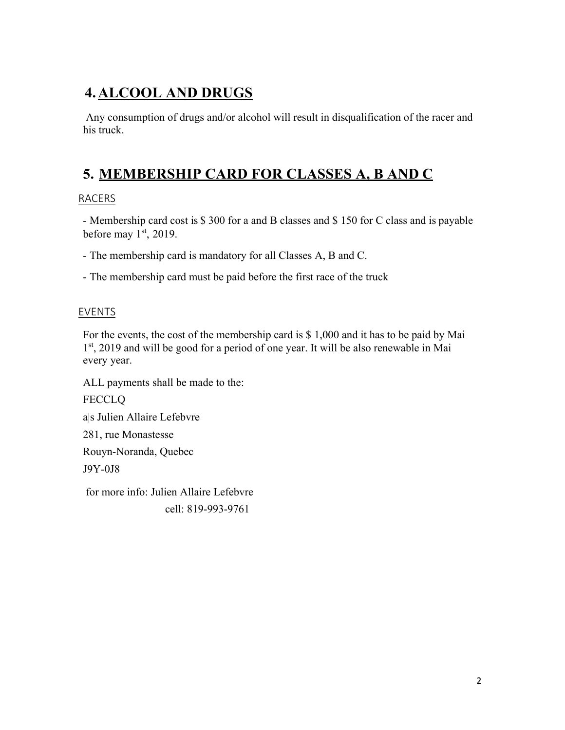# **4. ALCOOL AND DRUGS**

Any consumption of drugs and/or alcohol will result in disqualification of the racer and his truck.

# **5. MEMBERSHIP CARD FOR CLASSES A, B AND C**

### RACERS

- Membership card cost is \$ 300 for a and B classes and \$ 150 for C class and is payable before may 1<sup>st</sup>, 2019.

- The membership card is mandatory for all Classes A, B and C.

- The membership card must be paid before the first race of the truck

### EVENTS

For the events, the cost of the membership card is \$ 1,000 and it has to be paid by Mai 1<sup>st</sup>, 2019 and will be good for a period of one year. It will be also renewable in Mai every year.

ALL payments shall be made to the:

**FECCLQ** a|s Julien Allaire Lefebvre 281, rue Monastesse Rouyn-Noranda, Quebec J9Y-0J8 for more info: Julien Allaire Lefebvre

cell: 819-993-9761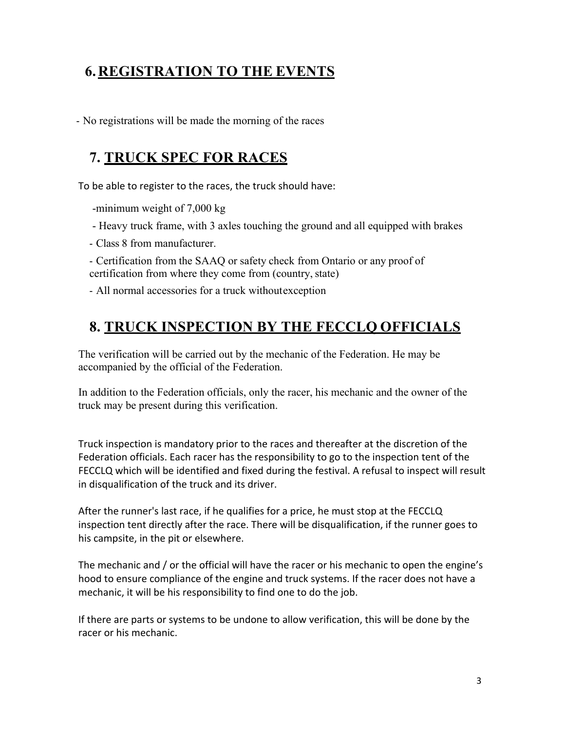# **6. REGISTRATION TO THE EVENTS**

- No registrations will be made the morning of the races

# **7. TRUCK SPEC FOR RACES**

To be able to register to the races, the truck should have:

-minimum weight of 7,000 kg

- Heavy truck frame, with 3 axles touching the ground and all equipped with brakes

- Class 8 from manufacturer.

- Certification from the SAAQ or safety check from Ontario or any proof of certification from where they come from (country, state)

- All normal accessories for a truck withoutexception

## **8. TRUCK INSPECTION BY THE FECCLQ OFFICIALS**

The verification will be carried out by the mechanic of the Federation. He may be accompanied by the official of the Federation.

In addition to the Federation officials, only the racer, his mechanic and the owner of the truck may be present during this verification.

Truck inspection is mandatory prior to the races and thereafter at the discretion of the Federation officials. Each racer has the responsibility to go to the inspection tent of the FECCLQ which will be identified and fixed during the festival. A refusal to inspect will result in disqualification of the truck and its driver.

After the runner's last race, if he qualifies for a price, he must stop at the FECCLQ inspection tent directly after the race. There will be disqualification, if the runner goes to his campsite, in the pit or elsewhere.

The mechanic and / or the official will have the racer or his mechanic to open the engine's hood to ensure compliance of the engine and truck systems. If the racer does not have a mechanic, it will be his responsibility to find one to do the job.

If there are parts or systems to be undone to allow verification, this will be done by the racer or his mechanic.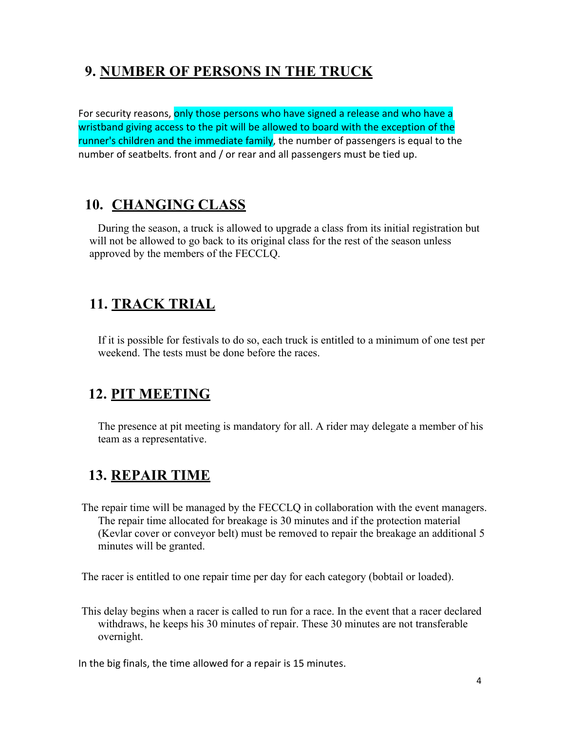# **9. NUMBER OF PERSONS IN THE TRUCK**

For security reasons, only those persons who have signed a release and who have a wristband giving access to the pit will be allowed to board with the exception of the runner's children and the immediate family, the number of passengers is equal to the number of seatbelts. front and / or rear and all passengers must be tied up.

## **10. CHANGING CLASS**

During the season, a truck is allowed to upgrade a class from its initial registration but will not be allowed to go back to its original class for the rest of the season unless approved by the members of the FECCLQ.

## **11. TRACK TRIAL**

If it is possible for festivals to do so, each truck is entitled to a minimum of one test per weekend. The tests must be done before the races.

## **12. PIT MEETING**

The presence at pit meeting is mandatory for all. A rider may delegate a member of his team as a representative.

# **13. REPAIR TIME**

The repair time will be managed by the FECCLQ in collaboration with the event managers. The repair time allocated for breakage is 30 minutes and if the protection material (Kevlar cover or conveyor belt) must be removed to repair the breakage an additional 5 minutes will be granted.

The racer is entitled to one repair time per day for each category (bobtail or loaded).

This delay begins when a racer is called to run for a race. In the event that a racer declared withdraws, he keeps his 30 minutes of repair. These 30 minutes are not transferable overnight.

In the big finals, the time allowed for a repair is 15 minutes.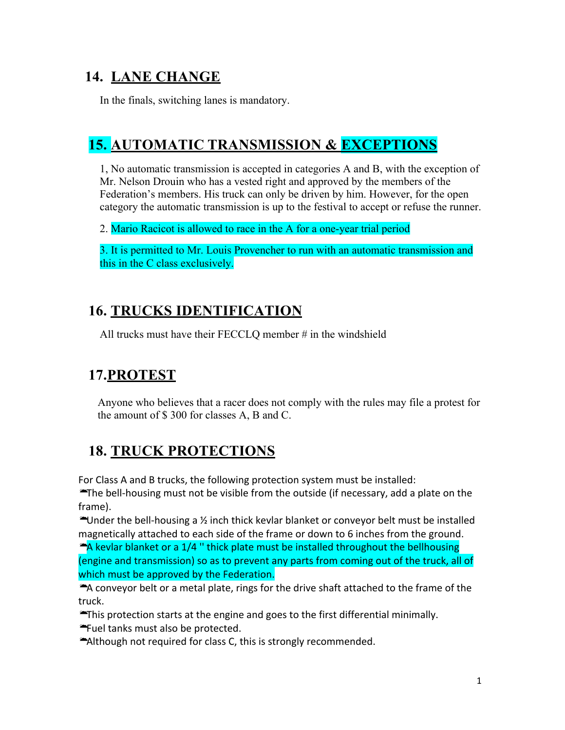# **14. LANE CHANGE**

In the finals, switching lanes is mandatory.

## **15. AUTOMATIC TRANSMISSION & EXCEPTIONS**

1, No automatic transmission is accepted in categories A and B, with the exception of Mr. Nelson Drouin who has a vested right and approved by the members of the Federation's members. His truck can only be driven by him. However, for the open category the automatic transmission is up to the festival to accept or refuse the runner.

2. Mario Racicot is allowed to race in the A for a one-year trial period

3. It is permitted to Mr. Louis Provencher to run with an automatic transmission and this in the C class exclusively.

# **16. TRUCKS IDENTIFICATION**

All trucks must have their FECCLQ member # in the windshield

### **17.PROTEST**

Anyone who believes that a racer does not comply with the rules may file a protest for the amount of \$ 300 for classes A, B and C.

# **18. TRUCK PROTECTIONS**

For Class A and B trucks, the following protection system must be installed:

**The bell-housing must not be visible from the outside (if necessary, add a plate on the** frame).

• Under the bell-housing a  $\frac{1}{2}$  inch thick kevlar blanket or conveyor belt must be installed magnetically attached to each side of the frame or down to 6 inches from the ground.

 $\triangle$ A kevlar blanket or a 1/4 " thick plate must be installed throughout the bellhousing (engine and transmission) so as to prevent any parts from coming out of the truck, all of which must be approved by the Federation.

A conveyor belt or a metal plate, rings for the drive shaft attached to the frame of the truck.

 $\blacktriangleright$ This protection starts at the engine and goes to the first differential minimally.

\* Fuel tanks must also be protected.

 $\triangle$ Although not required for class C, this is strongly recommended.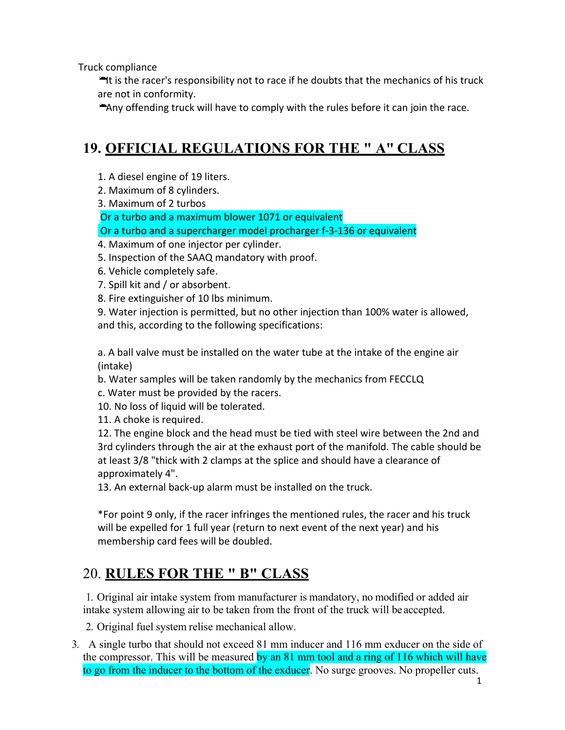Truck compliance

 $\blacktriangleright$ It is the racer's responsibility not to race if he doubts that the mechanics of his truck are not in conformity.

Any offending truck will have to comply with the rules before it can join the race.

# **19. OFFICIAL REGULATIONS FOR THE " A" CLASS**

- 1. A diesel engine of 19 liters.
- 2. Maximum of 8 cylinders.
- 3. Maximum of 2 turbos

Or a turbo and a maximum blower 1071 or equivalent

- Or a turbo and a supercharger model procharger f-3-136 or equivalent
- 4. Maximum of one injector per cylinder.
- 5. Inspection of the SAAQ mandatory with proof.
- 6. Vehicle completely safe.
- 7. Spill kit and / or absorbent.
- 8. Fire extinguisher of 10 lbs minimum.

9. Water injection is permitted, but no other injection than 100% water is allowed, and this, according to the following specifications:

a. A ball valve must be installed on the water tube at the intake of the engine air (intake)

- b. Water samples will be taken randomly by the mechanics from FECCLQ
- c. Water must be provided by the racers.

10. No loss of liquid will be tolerated.

11. A choke is required.

12. The engine block and the head must be tied with steel wire between the 2nd and 3rd cylinders through the air at the exhaust port of the manifold. The cable should be at least 3/8 "thick with 2 clamps at the splice and should have a clearance of approximately 4".

13. An external back-up alarm must be installed on the truck.

\*For point 9 only, if the racer infringes the mentioned rules, the racer and his truck will be expelled for 1 full year (return to next event of the next year) and his membership card fees will be doubled.

# 20. **RULES FOR THE " B" CLASS**

1. Original air intake system from manufacturer is mandatory, no modified or added air intake system allowing air to be taken from the front of the truck will be accepted.

2. Original fuel system relise mechanical allow.

3. A single turbo that should not exceed 81 mm inducer and 116 mm exducer on the side of the compressor. This will be measured by an 81 mm tool and a ring of 116 which will have to go from the inducer to the bottom of the exducer. No surge grooves. No propeller cuts.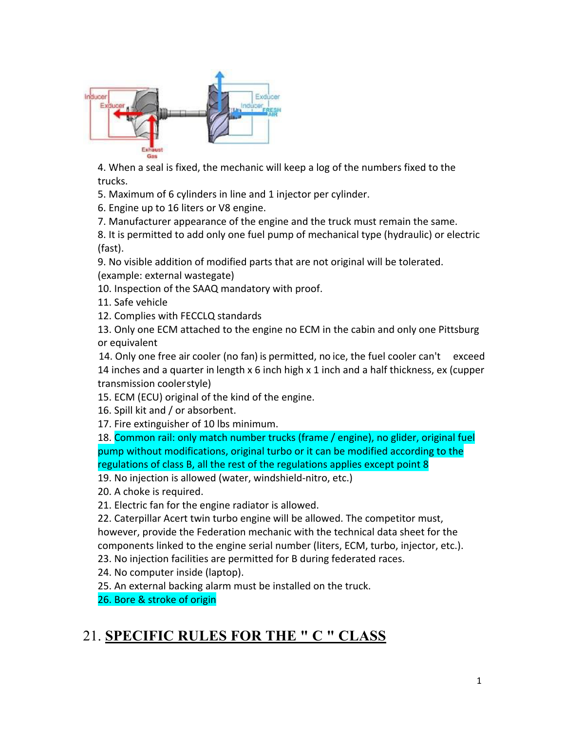

4. When a seal is fixed, the mechanic will keep a log of the numbers fixed to the trucks.

5. Maximum of 6 cylinders in line and 1 injector per cylinder.

6. Engine up to 16 liters or V8 engine.

7. Manufacturer appearance of the engine and the truck must remain the same.

8. It is permitted to add only one fuel pump of mechanical type (hydraulic) or electric (fast).

9. No visible addition of modified parts that are not original will be tolerated. (example: external wastegate)

10. Inspection of the SAAQ mandatory with proof.

11. Safe vehicle

12. Complies with FECCLQ standards

13. Only one ECM attached to the engine no ECM in the cabin and only one Pittsburg or equivalent

14. Only one free air cooler (no fan) is permitted, no ice, the fuel cooler can't exceed 14 inches and a quarter in length  $x$  6 inch high  $x$  1 inch and a half thickness, ex (cupper transmission coolerstyle)

15. ECM (ECU) original of the kind of the engine.

16. Spill kit and / or absorbent.

17. Fire extinguisher of 10 lbs minimum.

18. Common rail: only match number trucks (frame / engine), no glider, original fuel pump without modifications, original turbo or it can be modified according to the regulations of class B, all the rest of the regulations applies except point 8

19. No injection is allowed (water, windshield-nitro, etc.)

20. A choke is required.

21. Electric fan for the engine radiator is allowed.

22. Caterpillar Acert twin turbo engine will be allowed. The competitor must,

however, provide the Federation mechanic with the technical data sheet for the

components linked to the engine serial number (liters, ECM, turbo, injector, etc.).

23. No injection facilities are permitted for B during federated races.

24. No computer inside (laptop).

25. An external backing alarm must be installed on the truck.

26. Bore & stroke of origin

## 21. **SPECIFIC RULES FOR THE " C " CLASS**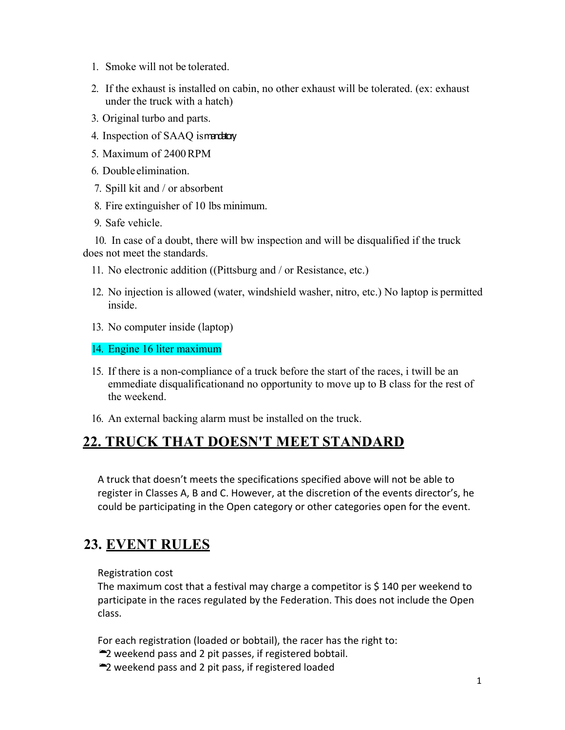- 1. Smoke will not be tolerated.
- 2. If the exhaust is installed on cabin, no other exhaust will be tolerated. (ex: exhaust under the truck with a hatch)
- 3. Original turbo and parts.
- 4. Inspection of SAAQ ismandatory
- 5. Maximum of 2400RPM
- 6. Double elimination.
- 7. Spill kit and / or absorbent
- 8. Fire extinguisher of 10 lbs minimum.
- 9. Safe vehicle.

10. In case of a doubt, there will bw inspection and will be disqualified if the truck does not meet the standards.

- 11. No electronic addition ((Pittsburg and / or Resistance, etc.)
- 12. No injection is allowed (water, windshield washer, nitro, etc.) No laptop is permitted inside.
- 13. No computer inside (laptop)
- 14. Engine 16 liter maximum
- 15. If there is a non-compliance of a truck before the start of the races, i twill be an emmediate disqualificationand no opportunity to move up to B class for the rest of the weekend.
- 16. An external backing alarm must be installed on the truck.

### **22. TRUCK THAT DOESN'T MEET STANDARD**

A truck that doesn't meets the specifications specified above will not be able to register in Classes A, B and C. However, at the discretion of the events director's, he could be participating in the Open category or other categories open for the event.

## **23. EVENT RULES**

Registration cost

The maximum cost that a festival may charge a competitor is  $$140$  per weekend to participate in the races regulated by the Federation. This does not include the Open class.

For each registration (loaded or bobtail), the racer has the right to:

- •2 weekend pass and 2 pit passes, if registered bobtail.
- •2 weekend pass and 2 pit pass, if registered loaded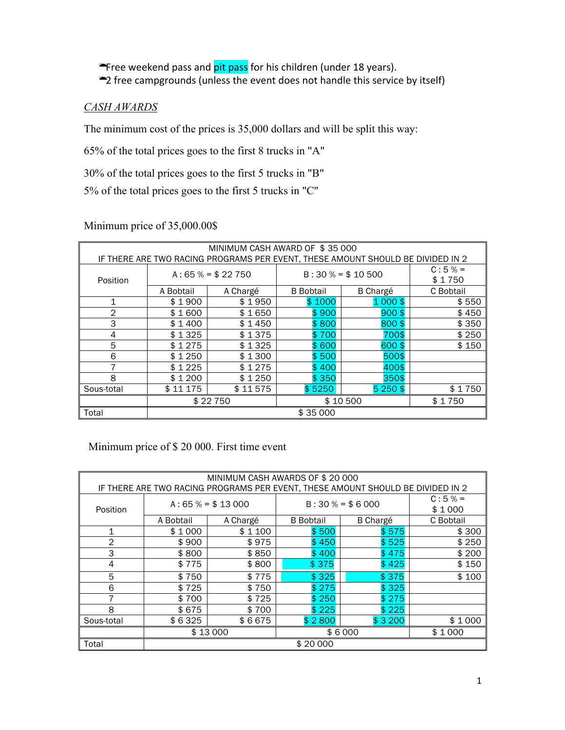**Free weekend pass and pit pass for his children** (under 18 years). •2 free campgrounds (unless the event does not handle this service by itself)

### *CASH AWARDS*

The minimum cost of the prices is 35,000 dollars and will be split this way:

65% of the total prices goes to the first 8 trucks in "A"

30% of the total prices goes to the first 5 trucks in "B"

5% of the total prices goes to the first 5 trucks in "C"

### Minimum price of 35,000.00\$

| MINIMUM CASH AWARD OF \$35 000                                                  |                  |                  |                  |                 |           |  |  |  |  |
|---------------------------------------------------------------------------------|------------------|------------------|------------------|-----------------|-----------|--|--|--|--|
| IF THERE ARE TWO RACING PROGRAMS PER EVENT, THESE AMOUNT SHOULD BE DIVIDED IN 2 |                  |                  |                  |                 |           |  |  |  |  |
| $C:5% =$                                                                        |                  |                  |                  |                 |           |  |  |  |  |
|                                                                                 |                  | $A:65% = $22750$ | $B:30% = $10500$ |                 |           |  |  |  |  |
| Position                                                                        |                  |                  |                  | \$1750          |           |  |  |  |  |
|                                                                                 | A Bobtail        | A Chargé         | <b>B</b> Bobtail | <b>B</b> Chargé | C Bobtail |  |  |  |  |
| 1                                                                               | \$1900           | \$1950           | \$1000           | $1000$ \$       | \$550     |  |  |  |  |
| 2                                                                               | \$1600           | \$1650           | \$900            | $900$ \$        | \$450     |  |  |  |  |
| 3                                                                               | \$1400           | \$1450           | \$800            | 800\$           | \$350     |  |  |  |  |
| 4                                                                               | \$1325           | \$1375           | \$700            | 700\$           | \$250     |  |  |  |  |
| 5                                                                               | \$1275<br>\$1325 |                  | \$600<br>600\$   |                 | \$150     |  |  |  |  |
| 6                                                                               | \$1250           | \$1300           | \$500            | 500\$           |           |  |  |  |  |
| 7                                                                               | \$1225           | \$1275           | \$400            | 400\$           |           |  |  |  |  |
| 8                                                                               | \$1200           | \$1250           | \$350            | 350\$           |           |  |  |  |  |
| Sous-total                                                                      | \$11175          | \$11575          | \$5250           | $5250$ \$       | \$1750    |  |  |  |  |
|                                                                                 |                  | \$22750          | \$10500          | \$1750          |           |  |  |  |  |
| Total                                                                           | \$35000          |                  |                  |                 |           |  |  |  |  |

### Minimum price of \$ 20 000. First time event

| MINIMUM CASH AWARDS OF \$20 000<br>IF THERE ARE TWO RACING PROGRAMS PER EVENT, THESE AMOUNT SHOULD BE DIVIDED IN 2 |                  |          |                  |                    |           |  |  |  |
|--------------------------------------------------------------------------------------------------------------------|------------------|----------|------------------|--------------------|-----------|--|--|--|
| Position                                                                                                           | $A:65% = $13000$ |          | $B:30% = $6000$  | $C:5% =$<br>\$1000 |           |  |  |  |
|                                                                                                                    | A Bobtail        | A Chargé | <b>B</b> Bobtail | <b>B</b> Chargé    | C Bobtail |  |  |  |
| 1                                                                                                                  | \$1000           | \$1100   | \$500            | \$575              | \$300     |  |  |  |
| $\mathbf{2}$                                                                                                       | \$900            | \$975    | \$450            | \$525              | \$250     |  |  |  |
| 3                                                                                                                  | \$800            | \$850    | \$400            | \$475              | \$200     |  |  |  |
| 4                                                                                                                  | \$775            | \$800    | \$375            | \$425              | \$150     |  |  |  |
| 5                                                                                                                  | \$750            | \$775    | \$325            | \$375              | \$100     |  |  |  |
| 6                                                                                                                  | \$725            | \$750    | \$275            | \$325              |           |  |  |  |
| 7                                                                                                                  | \$700            | \$725    | \$250            | \$275              |           |  |  |  |
| 8                                                                                                                  | \$675            | \$700    | \$225            | \$225              |           |  |  |  |
| Sous-total                                                                                                         | \$6325           | \$6675   | \$2800           | \$3200             | \$1000    |  |  |  |
|                                                                                                                    |                  | \$13000  | \$6000           | \$1000             |           |  |  |  |
| Total                                                                                                              | \$20 000         |          |                  |                    |           |  |  |  |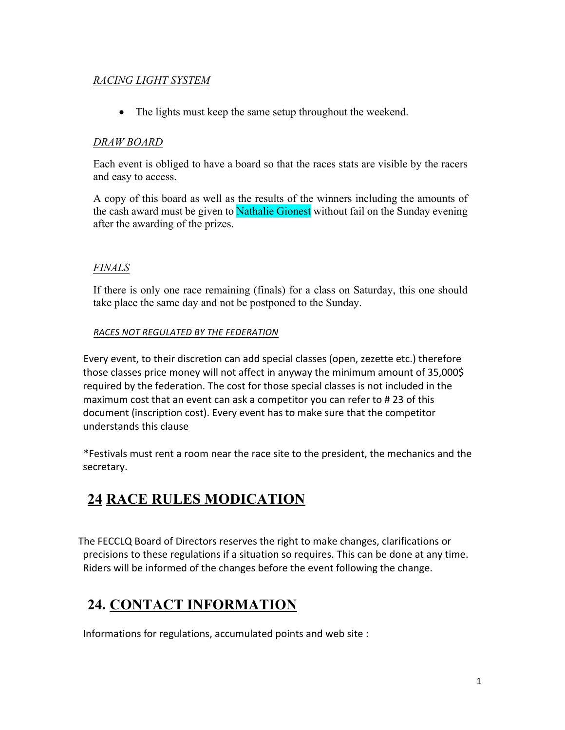### *RACING LIGHT SYSTEM*

• The lights must keep the same setup throughout the weekend.

### *DRAW BOARD*

Each event is obliged to have a board so that the races stats are visible by the racers and easy to access.

A copy of this board as well as the results of the winners including the amounts of the cash award must be given to **Nathalie Gionest** without fail on the Sunday evening after the awarding of the prizes.

### *FINALS*

If there is only one race remaining (finals) for a class on Saturday, this one should take place the same day and not be postponed to the Sunday.

#### *RACES NOT REGULATED BY THE FEDERATION*

Every event, to their discretion can add special classes (open, zezette etc.) therefore those classes price money will not affect in anyway the minimum amount of 35,000\$ required by the federation. The cost for those special classes is not included in the maximum cost that an event can ask a competitor you can refer to # 23 of this document (inscription cost). Every event has to make sure that the competitor understands this clause

\*Festivals must rent a room near the race site to the president, the mechanics and the secretary.

## **24 RACE RULES MODICATION**

The FECCLQ Board of Directors reserves the right to make changes, clarifications or precisions to these regulations if a situation so requires. This can be done at any time. Riders will be informed of the changes before the event following the change.

## **24. CONTACT INFORMATION**

Informations for regulations, accumulated points and web site :